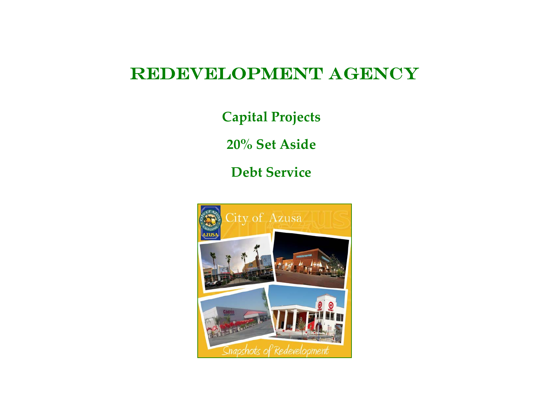# REDEVELOPMENT AGENCY

**Capital Projects**

**20% Set Aside**

**Debt Service**

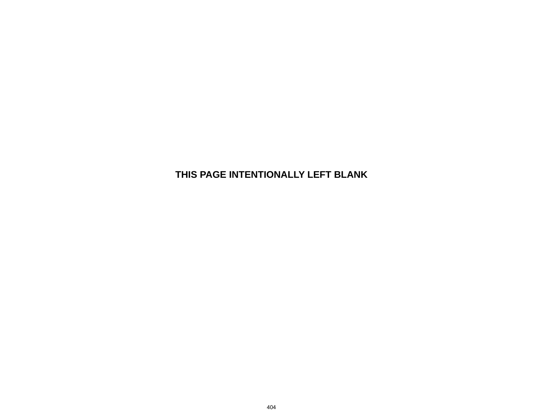#### **THIS PAGE INTENTIONALLY LEFT BLANK**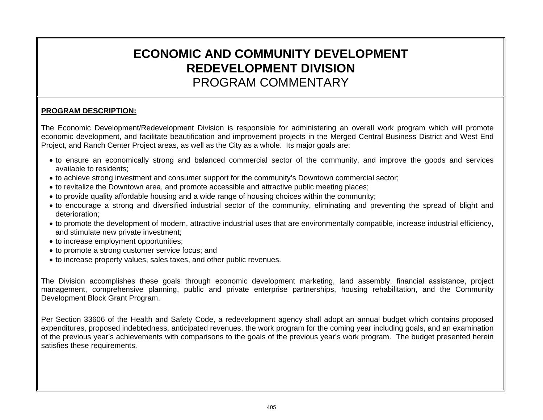#### **PROGRAM DESCRIPTION:**

The Economic Development/Redevelopment Division is responsible for administering an overall work program which will promote economic development, and facilitate beautification and improvement projects in the Merged Central Business District and West End Project, and Ranch Center Project areas, as well as the City as a whole. Its major goals are:

- to ensure an economically strong and balanced commercial sector of the community, and improve the goods and services available to residents;
- to achieve strong investment and consumer support for the community's Downtown commercial sector;
- to revitalize the Downtown area, and promote accessible and attractive public meeting places;
- to provide quality affordable housing and a wide range of housing choices within the community;
- to encourage a strong and diversified industrial sector of the community, eliminating and preventing the spread of blight and deterioration;
- to promote the development of modern, attractive industrial uses that are environmentally compatible, increase industrial efficiency, and stimulate new private investment;
- to increase employment opportunities;
- to promote a strong customer service focus; and
- to increase property values, sales taxes, and other public revenues.

The Division accomplishes these goals through economic development marketing, land assembly, financial assistance, project management, comprehensive planning, public and private enterprise partnerships, housing rehabilitation, and the Community Development Block Grant Program.

Per Section 33606 of the Health and Safety Code, a redevelopment agency shall adopt an annual budget which contains proposed expenditures, proposed indebtedness, anticipated revenues, the work program for the coming year including goals, and an examination of the previous year's achievements with comparisons to the goals of the previous year's work program. The budget presented herein satisfies these requirements.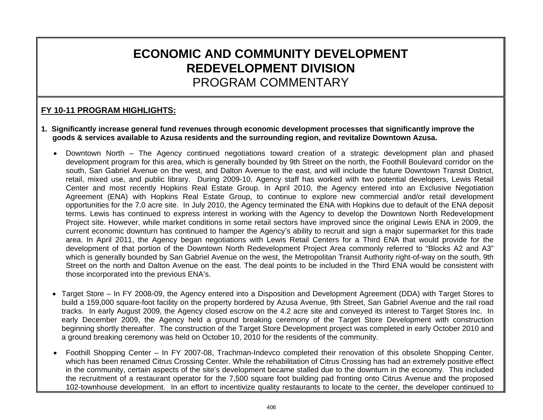#### **FY 10-11 PROGRAM HIGHLIGHTS:**

- **1. Significantly increase general fund revenues through economic development processes that significantly improve the goods & services available to Azusa residents and the surrounding region, and revitalize Downtown Azusa.** 
	- Downtown North The Agency continued negotiations toward creation of a strategic development plan and phased development program for this area, which is generally bounded by 9th Street on the north, the Foothill Boulevard corridor on the south, San Gabriel Avenue on the west, and Dalton Avenue to the east, and will include the future Downtown Transit District, retail, mixed use, and public library. During 2009-10, Agency staff has worked with two potential developers, Lewis Retail Center and most recently Hopkins Real Estate Group. In April 2010, the Agency entered into an Exclusive Negotiation Agreement (ENA) with Hopkins Real Estate Group, to continue to explore new commercial and/or retail development opportunities for the 7.0 acre site. In July 2010, the Agency terminated the ENA with Hopkins due to default of the ENA deposit terms. Lewis has continued to express interest in working with the Agency to develop the Downtown North Redevelopment Project site. However, while market conditions in some retail sectors have improved since the original Lewis ENA in 2009, the current economic downturn has continued to hamper the Agency's ability to recruit and sign a major supermarket for this trade area. In April 2011, the Agency began negotiations with Lewis Retail Centers for a Third ENA that would provide for the development of that portion of the Downtown North Redevelopment Project Area commonly referred to "Blocks A2 and A3" which is generally bounded by San Gabriel Avenue on the west, the Metropolitan Transit Authority right-of-way on the south, 9th Street on the north and Dalton Avenue on the east. The deal points to be included in the Third ENA would be consistent with those incorporated into the previous ENA's.
	- Target Store In FY 2008-09, the Agency entered into a Disposition and Development Agreement (DDA) with Target Stores to build a 159,000 square-foot facility on the property bordered by Azusa Avenue, 9th Street, San Gabriel Avenue and the rail road tracks. In early August 2009, the Agency closed escrow on the 4.2 acre site and conveyed its interest to Target Stores Inc. In early December 2009, the Agency held a ground breaking ceremony of the Target Store Development with construction beginning shortly thereafter. The construction of the Target Store Development project was completed in early October 2010 and a ground breaking ceremony was held on October 10, 2010 for the residents of the community.
	- Foothill Shopping Center In FY 2007-08, Trachman-Indevco completed their renovation of this obsolete Shopping Center, which has been renamed Citrus Crossing Center. While the rehabilitation of Citrus Crossing has had an extremely positive effect in the community, certain aspects of the site's development became stalled due to the downturn in the economy. This included the recruitment of a restaurant operator for the 7,500 square foot building pad fronting onto Citrus Avenue and the proposed 102-townhouse development. In an effort to incentivize quality restaurants to locate to the center, the developer continued to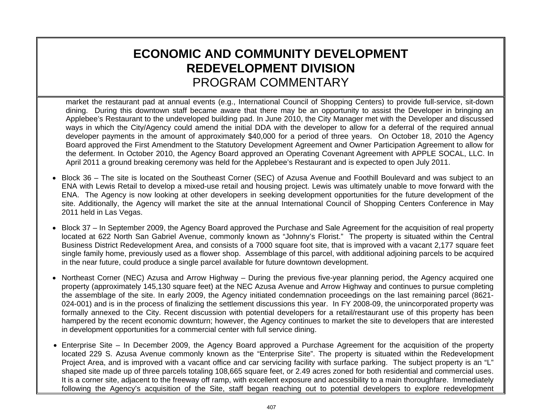market the restaurant pad at annual events (e.g., International Council of Shopping Centers) to provide full-service, sit-down dining. During this downtown staff became aware that there may be an opportunity to assist the Developer in bringing an Applebee's Restaurant to the undeveloped building pad. In June 2010, the City Manager met with the Developer and discussed ways in which the City/Agency could amend the initial DDA with the developer to allow for a deferral of the required annual developer payments in the amount of approximately \$40,000 for a period of three years. On October 18, 2010 the Agency Board approved the First Amendment to the Statutory Development Agreement and Owner Participation Agreement to allow for the deferment. In October 2010, the Agency Board approved an Operating Covenant Agreement with APPLE SOCAL, LLC. In April 2011 a ground breaking ceremony was held for the Applebee's Restaurant and is expected to open July 2011.

- Block 36 The site is located on the Southeast Corner (SEC) of Azusa Avenue and Foothill Boulevard and was subject to an ENA with Lewis Retail to develop a mixed-use retail and housing project. Lewis was ultimately unable to move forward with the ENA. The Agency is now looking at other developers in seeking development opportunities for the future development of the site. Additionally, the Agency will market the site at the annual International Council of Shopping Centers Conference in May 2011 held in Las Vegas.
- Block 37 In September 2009, the Agency Board approved the Purchase and Sale Agreement for the acquisition of real property located at 622 North San Gabriel Avenue, commonly known as "Johnny's Florist." The property is situated within the Central Business District Redevelopment Area, and consists of a 7000 square foot site, that is improved with a vacant 2,177 square feet single family home, previously used as a flower shop. Assemblage of this parcel, with additional adjoining parcels to be acquired in the near future, could produce a single parcel available for future downtown development.
- Northeast Corner (NEC) Azusa and Arrow Highway During the previous five-year planning period, the Agency acquired one property (approximately 145,130 square feet) at the NEC Azusa Avenue and Arrow Highway and continues to pursue completing the assemblage of the site. In early 2009, the Agency initiated condemnation proceedings on the last remaining parcel (8621- 024-001) and is in the process of finalizing the settlement discussions this year. In FY 2008-09, the unincorporated property was formally annexed to the City. Recent discussion with potential developers for a retail/restaurant use of this property has been hampered by the recent economic downturn; however, the Agency continues to market the site to developers that are interested in development opportunities for a commercial center with full service dining.
- Enterprise Site In December 2009, the Agency Board approved a Purchase Agreement for the acquisition of the property located 229 S. Azusa Avenue commonly known as the "Enterprise Site". The property is situated within the Redevelopment Project Area, and is improved with a vacant office and car servicing facility with surface parking. The subject property is an "L" shaped site made up of three parcels totaling 108,665 square feet, or 2.49 acres zoned for both residential and commercial uses. It is a corner site, adjacent to the freeway off ramp, with excellent exposure and accessibility to a main thoroughfare. Immediately following the Agency's acquisition of the Site, staff began reaching out to potential developers to explore redevelopment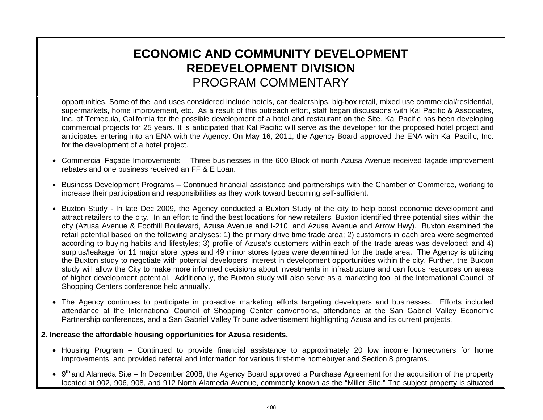opportunities. Some of the land uses considered include hotels, car dealerships, big-box retail, mixed use commercial/residential, supermarkets, home improvement, etc. As a result of this outreach effort, staff began discussions with Kal Pacific & Associates, Inc. of Temecula, California for the possible development of a hotel and restaurant on the Site. Kal Pacific has been developing commercial projects for 25 years. It is anticipated that Kal Pacific will serve as the developer for the proposed hotel project and anticipates entering into an ENA with the Agency. On May 16, 2011, the Agency Board approved the ENA with Kal Pacific, Inc. for the development of a hotel project.

- Commercial Façade Improvements Three businesses in the 600 Block of north Azusa Avenue received façade improvement rebates and one business received an FF & E Loan.
- Business Development Programs Continued financial assistance and partnerships with the Chamber of Commerce, working to increase their participation and responsibilities as they work toward becoming self-sufficient.
- Buxton Study In late Dec 2009, the Agency conducted a Buxton Study of the city to help boost economic development and attract retailers to the city. In an effort to find the best locations for new retailers, Buxton identified three potential sites within the city (Azusa Avenue & Foothill Boulevard, Azusa Avenue and I-210, and Azusa Avenue and Arrow Hwy). Buxton examined the retail potential based on the following analyses: 1) the primary drive time trade area; 2) customers in each area were segmented according to buying habits and lifestyles; 3) profile of Azusa's customers within each of the trade areas was developed; and 4) surplus/leakage for 11 major store types and 49 minor stores types were determined for the trade area. The Agency is utilizing the Buxton study to negotiate with potential developers' interest in development opportunities within the city. Further, the Buxton study will allow the City to make more informed decisions about investments in infrastructure and can focus resources on areas of higher development potential. Additionally, the Buxton study will also serve as a marketing tool at the International Council of Shopping Centers conference held annually.
- The Agency continues to participate in pro-active marketing efforts targeting developers and businesses. Efforts included attendance at the International Council of Shopping Center conventions, attendance at the San Gabriel Valley Economic Partnership conferences, and a San Gabriel Valley Tribune advertisement highlighting Azusa and its current projects.

#### **2. Increase the affordable housing opportunities for Azusa residents.**

- Housing Program Continued to provide financial assistance to approximately 20 low income homeowners for home improvements, and provided referral and information for various first-time homebuyer and Section 8 programs.
- $\bullet$  9<sup>th</sup> and Alameda Site In December 2008, the Agency Board approved a Purchase Agreement for the acquisition of the property located at 902, 906, 908, and 912 North Alameda Avenue, commonly known as the "Miller Site." The subject property is situated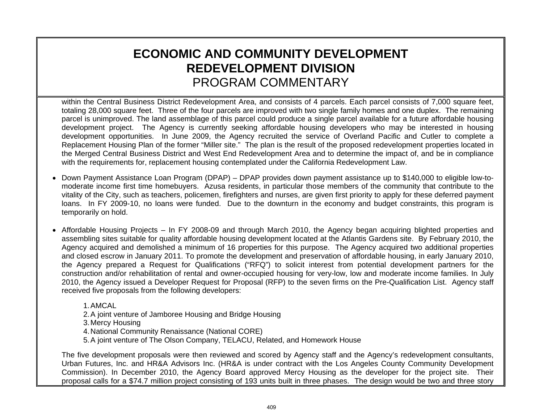within the Central Business District Redevelopment Area, and consists of 4 parcels. Each parcel consists of 7,000 square feet, totaling 28,000 square feet. Three of the four parcels are improved with two single family homes and one duplex. The remaining parcel is unimproved. The land assemblage of this parcel could produce a single parcel available for a future affordable housing development project. The Agency is currently seeking affordable housing developers who may be interested in housing development opportunities. In June 2009, the Agency recruited the service of Overland Pacific and Cutler to complete a Replacement Housing Plan of the former "Miller site." The plan is the result of the proposed redevelopment properties located in the Merged Central Business District and West End Redevelopment Area and to determine the impact of, and be in compliance with the requirements for, replacement housing contemplated under the California Redevelopment Law.

- Down Payment Assistance Loan Program (DPAP) DPAP provides down payment assistance up to \$140,000 to eligible low-tomoderate income first time homebuyers. Azusa residents, in particular those members of the community that contribute to the vitality of the City, such as teachers, policemen, firefighters and nurses, are given first priority to apply for these deferred payment loans. In FY 2009-10, no loans were funded. Due to the downturn in the economy and budget constraints, this program is temporarily on hold.
- Affordable Housing Projects In FY 2008-09 and through March 2010, the Agency began acquiring blighted properties and assembling sites suitable for quality affordable housing development located at the Atlantis Gardens site. By February 2010, the Agency acquired and demolished a minimum of 16 properties for this purpose. The Agency acquired two additional properties and closed escrow in January 2011. To promote the development and preservation of affordable housing, in early January 2010, the Agency prepared a Request for Qualifications ("RFQ") to solicit interest from potential development partners for the construction and/or rehabilitation of rental and owner-occupied housing for very-low, low and moderate income families. In July 2010, the Agency issued a Developer Request for Proposal (RFP) to the seven firms on the Pre-Qualification List. Agency staff received five proposals from the following developers:

#### 1. AMCAL

2. A joint venture of Jamboree Housing and Bridge Housing

3. Mercy Housing

4. National Community Renaissance (National CORE)

5. A joint venture of The Olson Company, TELACU, Related, and Homework House

The five development proposals were then reviewed and scored by Agency staff and the Agency's redevelopment consultants, Urban Futures, Inc. and HR&A Advisors Inc. (HR&A is under contract with the Los Angeles County Community Development Commission). In December 2010, the Agency Board approved Mercy Housing as the developer for the project site. Their proposal calls for a \$74.7 million project consisting of 193 units built in three phases. The design would be two and three story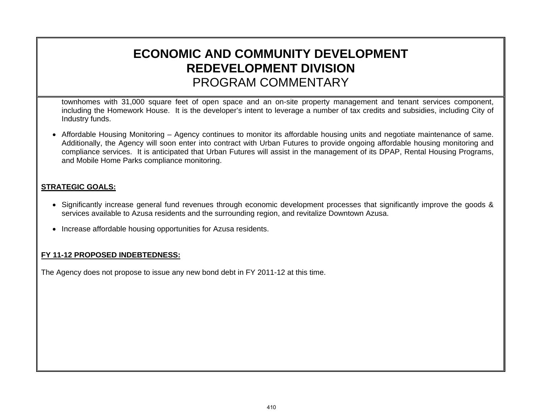townhomes with 31,000 square feet of open space and an on-site property management and tenant services component, including the Homework House. It is the developer's intent to leverage a number of tax credits and subsidies, including City of Industry funds.

• Affordable Housing Monitoring – Agency continues to monitor its affordable housing units and negotiate maintenance of same. Additionally, the Agency will soon enter into contract with Urban Futures to provide ongoing affordable housing monitoring and compliance services. It is anticipated that Urban Futures will assist in the management of its DPAP, Rental Housing Programs, and Mobile Home Parks compliance monitoring.

#### **STRATEGIC GOALS:**

- Significantly increase general fund revenues through economic development processes that significantly improve the goods & services available to Azusa residents and the surrounding region, and revitalize Downtown Azusa.
- Increase affordable housing opportunities for Azusa residents.

#### **FY 11-12 PROPOSED INDEBTEDNESS:**

The Agency does not propose to issue any new bond debt in FY 2011-12 at this time.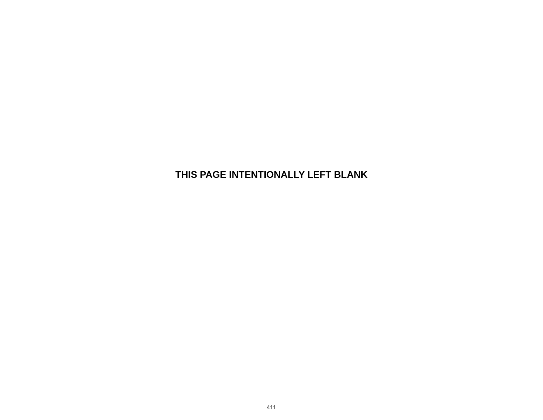#### **THIS PAGE INTENTIONALLY LEFT BLANK**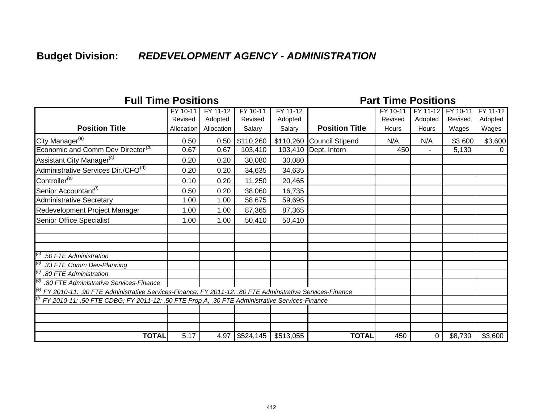# **Budget Division:** *REDEVELOPMENT AGENCY - ADMINISTRATION*

## **Full Time Positions**

## **Part Time Positions**

|                                                                                                                        | FY 10-11   | $FY$ 11-12 | FY 10-11          | FY 11-12  |                           | FY 10-11 | FY 11-12       | FY 10-11 | FY 11-12 |
|------------------------------------------------------------------------------------------------------------------------|------------|------------|-------------------|-----------|---------------------------|----------|----------------|----------|----------|
|                                                                                                                        | Revised    | Adopted    | Revised           | Adopted   |                           | Revised  | Adopted        | Revised  | Adopted  |
| <b>Position Title</b>                                                                                                  | Allocation | Allocation | Salary            | Salary    | <b>Position Title</b>     | Hours    | <b>Hours</b>   | Wages    | Wages    |
| City Manager <sup>(a)</sup>                                                                                            | 0.50       |            | $0.50$ \\$110,260 |           | \$110,260 Council Stipend | N/A      | N/A            | \$3,600  | \$3,600  |
| Economic and Comm Dev Director <sup>(b)</sup>                                                                          | 0.67       | 0.67       | 103,410           | 103,410   | Dept. Intern              | 450      | $\blacksquare$ | 5,130    | 0        |
| Assistant City Manager <sup>(c)</sup>                                                                                  | 0.20       | 0.20       | 30,080            | 30,080    |                           |          |                |          |          |
| Administrative Services Dir./CFO <sup>(d)</sup>                                                                        | 0.20       | 0.20       | 34,635            | 34,635    |                           |          |                |          |          |
| Controller <sup>(e)</sup>                                                                                              | 0.10       | 0.20       | 11,250            | 20,465    |                           |          |                |          |          |
| Senior Accountant <sup>(f)</sup>                                                                                       | 0.50       | 0.20       | 38,060            | 16,735    |                           |          |                |          |          |
| <b>Administrative Secretary</b>                                                                                        | 1.00       | 1.00       | 58,675            | 59,695    |                           |          |                |          |          |
| Redevelopment Project Manager                                                                                          | 1.00       | 1.00       | 87,365            | 87,365    |                           |          |                |          |          |
| Senior Office Specialist                                                                                               | 1.00       | 1.00       | 50,410            | 50,410    |                           |          |                |          |          |
|                                                                                                                        |            |            |                   |           |                           |          |                |          |          |
|                                                                                                                        |            |            |                   |           |                           |          |                |          |          |
| (a)<br>.50 FTE Administration                                                                                          |            |            |                   |           |                           |          |                |          |          |
| .33 FTE Comm Dev-Planning                                                                                              |            |            |                   |           |                           |          |                |          |          |
| $\left( c\right)$<br>.80 FTE Administration                                                                            |            |            |                   |           |                           |          |                |          |          |
| .80 FTE Administrative Services-Finance                                                                                |            |            |                   |           |                           |          |                |          |          |
| <sup>(e)</sup> FY 2010-11: .90 FTE Administrative Services-Finance; FY 2011-12: .80 FTE Adminstrative Services-Finance |            |            |                   |           |                           |          |                |          |          |
| FY 2010-11: .50 FTE CDBG; FY 2011-12: .50 FTE Prop A, .30 FTE Administrative Services-Finance                          |            |            |                   |           |                           |          |                |          |          |
|                                                                                                                        |            |            |                   |           |                           |          |                |          |          |
|                                                                                                                        |            |            |                   |           |                           |          |                |          |          |
|                                                                                                                        |            |            |                   |           |                           |          |                |          |          |
| <b>TOTAL</b>                                                                                                           | 5.17       |            | 4.97 \$524,145    | \$513,055 | <b>TOTAL</b>              | 450      | 0              | \$8,730  | \$3,600  |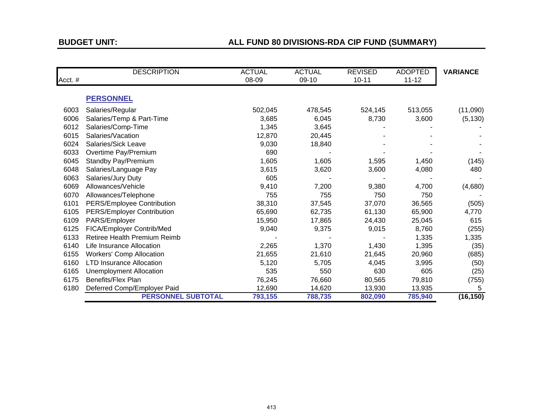# **BUDGET UNIT: ALL FUND 80 DIVISIONS-RDA CIP FUND (SUMMARY)**

|         | <b>DESCRIPTION</b>              | <b>ACTUAL</b> | <b>ACTUAL</b> | <b>REVISED</b> | <b>ADOPTED</b> | <b>VARIANCE</b> |
|---------|---------------------------------|---------------|---------------|----------------|----------------|-----------------|
| Acct. # |                                 | 08-09         | 09-10         | $10 - 11$      | $11 - 12$      |                 |
|         |                                 |               |               |                |                |                 |
|         | <b>PERSONNEL</b>                |               |               |                |                |                 |
| 6003    | Salaries/Regular                | 502,045       | 478,545       | 524,145        | 513,055        | (11,090)        |
| 6006    | Salaries/Temp & Part-Time       | 3,685         | 6,045         | 8,730          | 3,600          | (5, 130)        |
| 6012    | Salaries/Comp-Time              | 1,345         | 3,645         |                |                |                 |
| 6015    | Salaries/Vacation               | 12,870        | 20,445        |                |                |                 |
| 6024    | Salaries/Sick Leave             | 9,030         | 18,840        |                |                |                 |
| 6033    | Overtime Pay/Premium            | 690           |               |                |                |                 |
| 6045    | Standby Pay/Premium             | 1,605         | 1,605         | 1,595          | 1,450          | (145)           |
| 6048    | Salaries/Language Pay           | 3,615         | 3,620         | 3,600          | 4,080          | 480             |
| 6063    | Salaries/Jury Duty              | 605           |               |                |                |                 |
| 6069    | Allowances/Vehicle              | 9,410         | 7,200         | 9,380          | 4,700          | (4,680)         |
| 6070    | Allowances/Telephone            | 755           | 755           | 750            | 750            |                 |
| 6101    | PERS/Employee Contribution      | 38,310        | 37,545        | 37,070         | 36,565         | (505)           |
| 6105    | PERS/Employer Contribution      | 65,690        | 62,735        | 61,130         | 65,900         | 4,770           |
| 6109    | PARS/Employer                   | 15,950        | 17,865        | 24,430         | 25,045         | 615             |
| 6125    | FICA/Employer Contrib/Med       | 9,040         | 9,375         | 9,015          | 8,760          | (255)           |
| 6133    | Retiree Health Premium Reimb    |               |               |                | 1,335          | 1,335           |
| 6140    | Life Insurance Allocation       | 2,265         | 1,370         | 1,430          | 1,395          | (35)            |
| 6155    | <b>Workers' Comp Allocation</b> | 21,655        | 21,610        | 21,645         | 20,960         | (685)           |
| 6160    | <b>LTD Insurance Allocation</b> | 5,120         | 5,705         | 4,045          | 3,995          | (50)            |
| 6165    | <b>Unemployment Allocation</b>  | 535           | 550           | 630            | 605            | (25)            |
| 6175    | <b>Benefits/Flex Plan</b>       | 76,245        | 76,660        | 80,565         | 79,810         | (755)           |
| 6180    | Deferred Comp/Employer Paid     | 12,690        | 14,620        | 13,930         | 13,935         | 5               |
|         | <b>PERSONNEL SUBTOTAL</b>       | 793,155       | 788,735       | 802,090        | 785,940        | (16, 150)       |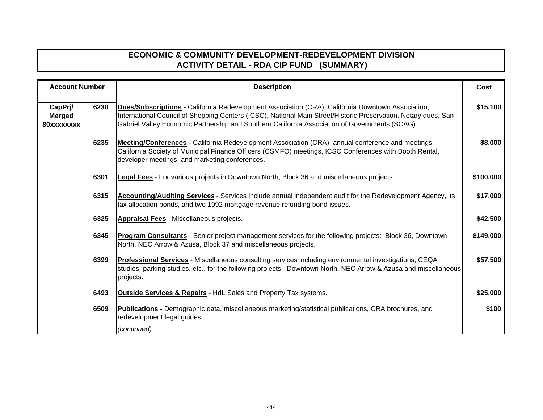| <b>Account Number</b>                  |      | <b>Description</b>                                                                                                                                                                                                                                                                                                    | Cost      |
|----------------------------------------|------|-----------------------------------------------------------------------------------------------------------------------------------------------------------------------------------------------------------------------------------------------------------------------------------------------------------------------|-----------|
| CapPrj/<br><b>Merged</b><br>80xxxxxxxx | 6230 | Dues/Subscriptions - California Redevelopment Association (CRA), California Downtown Association,<br>International Council of Shopping Centers (ICSC), National Main Street/Historic Preservation, Notary dues, San<br>Gabriel Valley Economic Partnership and Southern California Association of Governments (SCAG). | \$15,100  |
|                                        | 6235 | Meeting/Conferences - California Redevelopment Association (CRA) annual conference and meetings,<br>California Society of Municipal Finance Officers (CSMFO) meetings, ICSC Conferences with Booth Rental,<br>developer meetings, and marketing conferences.                                                          | \$8,000   |
|                                        | 6301 | Legal Fees - For various projects in Downtown North, Block 36 and miscellaneous projects.                                                                                                                                                                                                                             | \$100,000 |
|                                        | 6315 | Accounting/Auditing Services - Services include annual independent audit for the Redevelopment Agency, its<br>tax allocation bonds, and two 1992 mortgage revenue refunding bond issues.                                                                                                                              | \$17,000  |
|                                        | 6325 | <b>Appraisal Fees - Miscellaneous projects.</b>                                                                                                                                                                                                                                                                       | \$42,500  |
|                                        | 6345 | Program Consultants - Senior project management services for the following projects: Block 36, Downtown<br>North, NEC Arrow & Azusa, Block 37 and miscellaneous projects.                                                                                                                                             | \$149,000 |
|                                        | 6399 | Professional Services - Miscellaneous consulting services including environmental investigations, CEQA<br>studies, parking studies, etc., for the following projects: Downtown North, NEC Arrow & Azusa and miscellaneous<br>projects.                                                                                | \$57,500  |
|                                        | 6493 | <b>Outside Services &amp; Repairs - HdL Sales and Property Tax systems.</b>                                                                                                                                                                                                                                           | \$25,000  |
|                                        | 6509 | Publications - Demographic data, miscellaneous marketing/statistical publications, CRA brochures, and<br>redevelopment legal guides.                                                                                                                                                                                  | \$100     |
|                                        |      | (continued)                                                                                                                                                                                                                                                                                                           |           |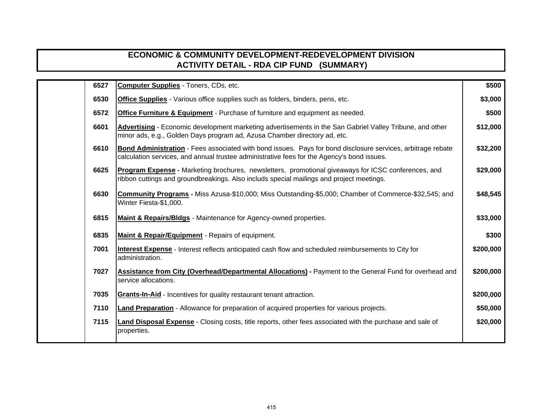| 6527 | <b>Computer Supplies - Toners, CDs, etc.</b>                                                                                                                                                              | \$500     |
|------|-----------------------------------------------------------------------------------------------------------------------------------------------------------------------------------------------------------|-----------|
| 6530 | <b>Office Supplies</b> - Various office supplies such as folders, binders, pens, etc.                                                                                                                     | \$3,000   |
| 6572 | <b>Office Furniture &amp; Equipment</b> - Purchase of furniture and equipment as needed.                                                                                                                  | \$500     |
| 6601 | Advertising - Economic development marketing advertisements in the San Gabriel Valley Tribune, and other<br>minor ads, e.g., Golden Days program ad, Azusa Chamber directory ad, etc.                     | \$12,000  |
| 6610 | Bond Administration - Fees associated with bond issues. Pays for bond disclosure services, arbitrage rebate<br>calculation services, and annual trustee administrative fees for the Agency's bond issues. | \$32,200  |
| 6625 | <b>Program Expense - Marketing brochures, newsletters, promotional giveaways for ICSC conferences, and</b><br>ribbon cuttings and groundbreakings. Also includs special mailings and project meetings.    | \$29,000  |
| 6630 | Community Programs - Miss Azusa-\$10,000; Miss Outstanding-\$5,000; Chamber of Commerce-\$32,545; and<br>Winter Fiesta-\$1,000.                                                                           | \$48,545  |
| 6815 | Maint & Repairs/Bldgs - Maintenance for Agency-owned properties.                                                                                                                                          | \$33,000  |
| 6835 | Maint & Repair/Equipment - Repairs of equipment.                                                                                                                                                          | \$300     |
| 7001 | Interest Expense - Interest reflects anticipated cash flow and scheduled reimbursements to City for<br>administration.                                                                                    | \$200,000 |
| 7027 | <b>Assistance from City (Overhead/Departmental Allocations)</b> - Payment to the General Fund for overhead and<br>service allocations.                                                                    | \$200,000 |
| 7035 | <b>Grants-In-Aid</b> - Incentives for quality restaurant tenant attraction.                                                                                                                               | \$200,000 |
| 7110 | Land Preparation - Allowance for preparation of acquired properties for various projects.                                                                                                                 | \$50,000  |
| 7115 | Land Disposal Expense - Closing costs, title reports, other fees associated with the purchase and sale of<br>properties.                                                                                  | \$20,000  |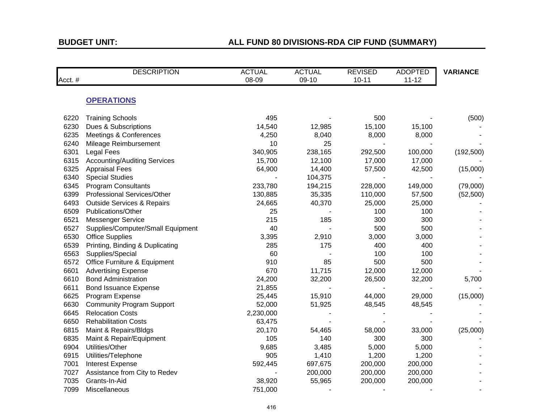# **BUDGET UNIT: ALL FUND 80 DIVISIONS-RDA CIP FUND (SUMMARY)**

|        | <b>DESCRIPTION</b>                    | <b>ACTUAL</b><br>08-09 | <b>ACTUAL</b><br>09-10 | <b>REVISED</b><br>$10 - 11$ | <b>ADOPTED</b><br>$11 - 12$ | <b>VARIANCE</b> |
|--------|---------------------------------------|------------------------|------------------------|-----------------------------|-----------------------------|-----------------|
| Acct.# |                                       |                        |                        |                             |                             |                 |
|        | <b>OPERATIONS</b>                     |                        |                        |                             |                             |                 |
| 6220   | <b>Training Schools</b>               | 495                    |                        | 500                         |                             | (500)           |
| 6230   | Dues & Subscriptions                  | 14,540                 | 12,985                 | 15,100                      | 15,100                      |                 |
| 6235   | Meetings & Conferences                | 4,250                  | 8,040                  | 8,000                       | 8,000                       |                 |
| 6240   | Mileage Reimbursement                 | 10                     | 25                     |                             |                             |                 |
| 6301   | <b>Legal Fees</b>                     | 340,905                | 238,165                | 292,500                     | 100,000                     | (192, 500)      |
| 6315   | <b>Accounting/Auditing Services</b>   | 15,700                 | 12,100                 | 17,000                      | 17,000                      |                 |
| 6325   | <b>Appraisal Fees</b>                 | 64,900                 | 14,400                 | 57,500                      | 42,500                      | (15,000)        |
| 6340   | <b>Special Studies</b>                |                        | 104,375                |                             |                             |                 |
| 6345   | <b>Program Consultants</b>            | 233,780                | 194,215                | 228,000                     | 149,000                     | (79,000)        |
| 6399   | Professional Services/Other           | 130,885                | 35,335                 | 110,000                     | 57,500                      | (52, 500)       |
| 6493   | <b>Outside Services &amp; Repairs</b> | 24,665                 | 40,370                 | 25,000                      | 25,000                      |                 |
| 6509   | Publications/Other                    | 25                     |                        | 100                         | 100                         |                 |
| 6521   | <b>Messenger Service</b>              | 215                    | 185                    | 300                         | 300                         |                 |
| 6527   | Supplies/Computer/Small Equipment     | 40                     |                        | 500                         | 500                         |                 |
| 6530   | <b>Office Supplies</b>                | 3,395                  | 2,910                  | 3,000                       | 3,000                       |                 |
| 6539   | Printing, Binding & Duplicating       | 285                    | 175                    | 400                         | 400                         |                 |
| 6563   | Supplies/Special                      | 60                     |                        | 100                         | 100                         |                 |
| 6572   | Office Furniture & Equipment          | 910                    | 85                     | 500                         | 500                         |                 |
| 6601   | <b>Advertising Expense</b>            | 670                    | 11,715                 | 12,000                      | 12,000                      |                 |
| 6610   | <b>Bond Administration</b>            | 24,200                 | 32,200                 | 26,500                      | 32,200                      | 5,700           |
| 6611   | <b>Bond Issuance Expense</b>          | 21,855                 |                        |                             |                             |                 |
| 6625   | Program Expense                       | 25,445                 | 15,910                 | 44,000                      | 29,000                      | (15,000)        |
| 6630   | <b>Community Program Support</b>      | 52,000                 | 51,925                 | 48,545                      | 48,545                      |                 |
| 6645   | <b>Relocation Costs</b>               | 2,230,000              |                        |                             |                             |                 |
| 6650   | <b>Rehabilitation Costs</b>           | 63,475                 |                        |                             |                             |                 |
| 6815   | Maint & Repairs/Bldgs                 | 20,170                 | 54,465                 | 58,000                      | 33,000                      | (25,000)        |
| 6835   | Maint & Repair/Equipment              | 105                    | 140                    | 300                         | 300                         |                 |
| 6904   | Utilities/Other                       | 9,685                  | 3,485                  | 5,000                       | 5,000                       |                 |
| 6915   | Utilities/Telephone                   | 905                    | 1,410                  | 1,200                       | 1,200                       |                 |
| 7001   | Interest Expense                      | 592,445                | 697,675                | 200,000                     | 200,000                     |                 |
| 7027   | Assistance from City to Redev         |                        | 200,000                | 200,000                     | 200,000                     |                 |
| 7035   | Grants-In-Aid                         | 38,920                 | 55,965                 | 200,000                     | 200,000                     |                 |
| 7099   | Miscellaneous                         | 751,000                |                        |                             |                             |                 |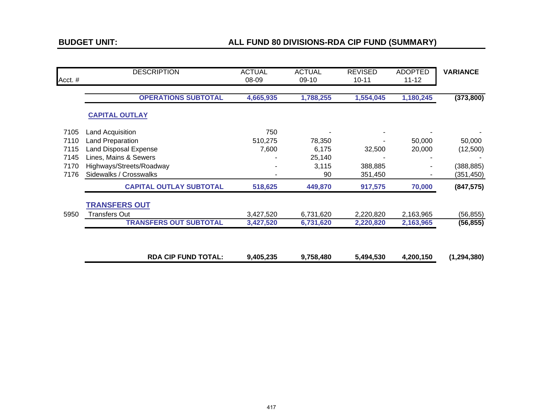# **BUDGET UNIT: ALL FUND 80 DIVISIONS-RDA CIP FUND (SUMMARY)**

| Acct. # | <b>DESCRIPTION</b>             | <b>ACTUAL</b><br>08-09 | <b>ACTUAL</b><br>09-10 | <b>REVISED</b><br>$10 - 11$ | <b>ADOPTED</b><br>$11 - 12$ | <b>VARIANCE</b> |
|---------|--------------------------------|------------------------|------------------------|-----------------------------|-----------------------------|-----------------|
|         |                                |                        |                        |                             |                             |                 |
|         | <b>OPERATIONS SUBTOTAL</b>     | 4,665,935              | 1,788,255              | 1,554,045                   | 1,180,245                   | (373, 800)      |
|         | <b>CAPITAL OUTLAY</b>          |                        |                        |                             |                             |                 |
| 7105    | Land Acquisition               | 750                    |                        |                             |                             |                 |
| 7110    | Land Preparation               | 510,275                | 78,350                 |                             | 50,000                      | 50,000          |
| 7115    | <b>Land Disposal Expense</b>   | 7,600                  | 6,175                  | 32,500                      | 20,000                      | (12,500)        |
| 7145    | Lines, Mains & Sewers          |                        | 25,140                 |                             |                             |                 |
| 7170    | Highways/Streets/Roadway       |                        | 3,115                  | 388,885                     |                             | (388, 885)      |
| 7176    | Sidewalks / Crosswalks         |                        | 90                     | 351,450                     |                             | (351,450)       |
|         | <b>CAPITAL OUTLAY SUBTOTAL</b> | 518,625                | 449,870                | 917,575                     | 70,000                      | (847, 575)      |
|         | <b>TRANSFERS OUT</b>           |                        |                        |                             |                             |                 |
| 5950    | Transfers Out                  | 3,427,520              | 6,731,620              | 2,220,820                   | 2,163,965                   | (56, 855)       |
|         | <b>TRANSFERS OUT SUBTOTAL</b>  | 3,427,520              | 6,731,620              | 2,220,820                   | 2,163,965                   | (56, 855)       |
|         |                                |                        |                        |                             |                             |                 |
|         | <b>RDA CIP FUND TOTAL:</b>     | 9,405,235              | 9,758,480              | 5,494,530                   | 4,200,150                   | (1, 294, 380)   |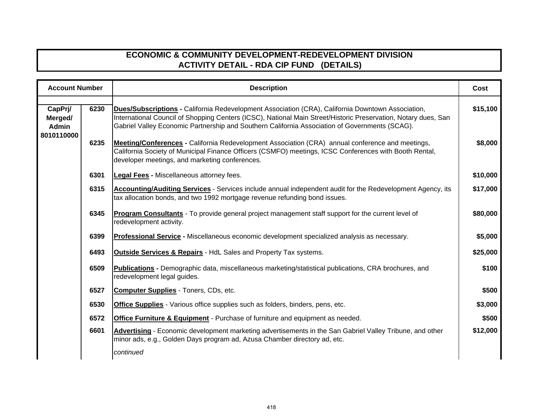| <b>Account Number</b>                     |      | <b>Description</b>                                                                                                                                                                                                                                                                                                    | Cost     |
|-------------------------------------------|------|-----------------------------------------------------------------------------------------------------------------------------------------------------------------------------------------------------------------------------------------------------------------------------------------------------------------------|----------|
| CapPrj/<br>Merged/<br>Admin<br>8010110000 | 6230 | Dues/Subscriptions - California Redevelopment Association (CRA), California Downtown Association,<br>International Council of Shopping Centers (ICSC), National Main Street/Historic Preservation, Notary dues, San<br>Gabriel Valley Economic Partnership and Southern California Association of Governments (SCAG). | \$15,100 |
|                                           | 6235 | Meeting/Conferences - California Redevelopment Association (CRA) annual conference and meetings,<br>California Society of Municipal Finance Officers (CSMFO) meetings, ICSC Conferences with Booth Rental,<br>developer meetings, and marketing conferences.                                                          | \$8,000  |
|                                           | 6301 | <b>Legal Fees - Miscellaneous attorney fees.</b>                                                                                                                                                                                                                                                                      | \$10,000 |
|                                           | 6315 | Accounting/Auditing Services - Services include annual independent audit for the Redevelopment Agency, its<br>tax allocation bonds, and two 1992 mortgage revenue refunding bond issues.                                                                                                                              | \$17,000 |
|                                           | 6345 | <b>Program Consultants</b> - To provide general project management staff support for the current level of<br>redevelopment activity.                                                                                                                                                                                  | \$80,000 |
|                                           | 6399 | Professional Service - Miscellaneous economic development specialized analysis as necessary.                                                                                                                                                                                                                          | \$5,000  |
|                                           | 6493 | <b>Outside Services &amp; Repairs - HdL Sales and Property Tax systems.</b>                                                                                                                                                                                                                                           | \$25,000 |
|                                           | 6509 | <b>Publications -</b> Demographic data, miscellaneous marketing/statistical publications, CRA brochures, and<br>redevelopment legal guides.                                                                                                                                                                           | \$100    |
|                                           | 6527 | Computer Supplies - Toners, CDs, etc.                                                                                                                                                                                                                                                                                 | \$500    |
|                                           | 6530 | <b>Office Supplies</b> - Various office supplies such as folders, binders, pens, etc.                                                                                                                                                                                                                                 | \$3,000  |
|                                           | 6572 | <b>Office Furniture &amp; Equipment</b> - Purchase of furniture and equipment as needed.                                                                                                                                                                                                                              | \$500    |
|                                           | 6601 | Advertising - Economic development marketing advertisements in the San Gabriel Valley Tribune, and other<br>minor ads, e.g., Golden Days program ad, Azusa Chamber directory ad, etc.                                                                                                                                 | \$12,000 |
|                                           |      | continued                                                                                                                                                                                                                                                                                                             |          |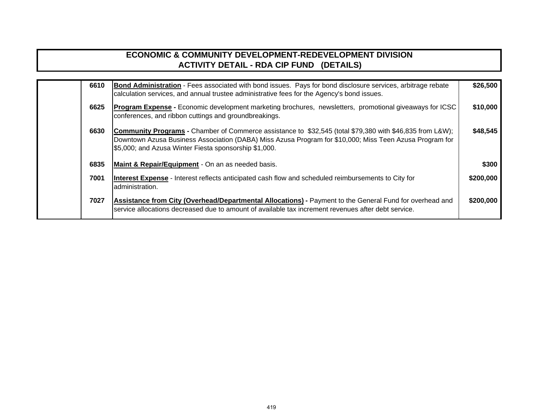| 6610 | Bond Administration - Fees associated with bond issues. Pays for bond disclosure services, arbitrage rebate<br>calculation services, and annual trustee administrative fees for the Agency's bond issues.                                                                           | \$26,500  |
|------|-------------------------------------------------------------------------------------------------------------------------------------------------------------------------------------------------------------------------------------------------------------------------------------|-----------|
| 6625 | <b>Program Expense -</b> Economic development marketing brochures, newsletters, promotional giveaways for ICSC<br>conferences, and ribbon cuttings and groundbreakings.                                                                                                             | \$10,000  |
| 6630 | <b>Community Programs -</b> Chamber of Commerce assistance to \$32,545 (total \$79,380 with \$46,835 from L&W);<br>Downtown Azusa Business Association (DABA) Miss Azusa Program for \$10,000; Miss Teen Azusa Program for<br>\$5,000; and Azusa Winter Fiesta sponsorship \$1,000. | \$48,545  |
| 6835 | Maint & Repair/Equipment - On an as needed basis.                                                                                                                                                                                                                                   | \$300     |
| 7001 | Interest Expense - Interest reflects anticipated cash flow and scheduled reimbursements to City for<br>ladministration.                                                                                                                                                             | \$200,000 |
| 7027 | Assistance from City (Overhead/Departmental Allocations) - Payment to the General Fund for overhead and<br>service allocations decreased due to amount of available tax increment revenues after debt service.                                                                      | \$200,000 |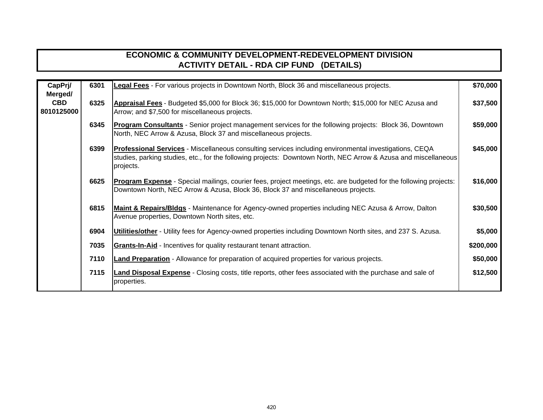| CapPrj/<br>Merged/       | 6301 | Legal Fees - For various projects in Downtown North, Block 36 and miscellaneous projects.                                                                                                                                                     | \$70,000  |
|--------------------------|------|-----------------------------------------------------------------------------------------------------------------------------------------------------------------------------------------------------------------------------------------------|-----------|
| <b>CBD</b><br>8010125000 | 6325 | Appraisal Fees - Budgeted \$5,000 for Block 36; \$15,000 for Downtown North; \$15,000 for NEC Azusa and<br>Arrow; and \$7,500 for miscellaneous projects.                                                                                     | \$37,500  |
|                          | 6345 | <b>Program Consultants</b> - Senior project management services for the following projects: Block 36, Downtown<br>North, NEC Arrow & Azusa, Block 37 and miscellaneous projects.                                                              | \$59,000  |
|                          | 6399 | <b>Professional Services</b> - Miscellaneous consulting services including environmental investigations, CEQA<br>studies, parking studies, etc., for the following projects: Downtown North, NEC Arrow & Azusa and miscellaneous<br>projects. | \$45,000  |
| 6625                     |      | <b>Program Expense</b> - Special mailings, courier fees, project meetings, etc. are budgeted for the following projects:<br>Downtown North, NEC Arrow & Azusa, Block 36, Block 37 and miscellaneous projects.                                 | \$16,000  |
|                          | 6815 | Maint & Repairs/Bldgs - Maintenance for Agency-owned properties including NEC Azusa & Arrow, Dalton<br>Avenue properties, Downtown North sites, etc.                                                                                          | \$30,500  |
|                          | 6904 | Utilities/other - Utility fees for Agency-owned properties including Downtown North sites, and 237 S. Azusa.                                                                                                                                  | \$5,000   |
|                          | 7035 | Grants-In-Aid - Incentives for quality restaurant tenant attraction.                                                                                                                                                                          | \$200,000 |
|                          | 7110 | <b>Land Preparation</b> - Allowance for preparation of acquired properties for various projects.                                                                                                                                              | \$50,000  |
|                          | 7115 | Land Disposal Expense - Closing costs, title reports, other fees associated with the purchase and sale of<br>properties.                                                                                                                      | \$12,500  |
|                          |      |                                                                                                                                                                                                                                               |           |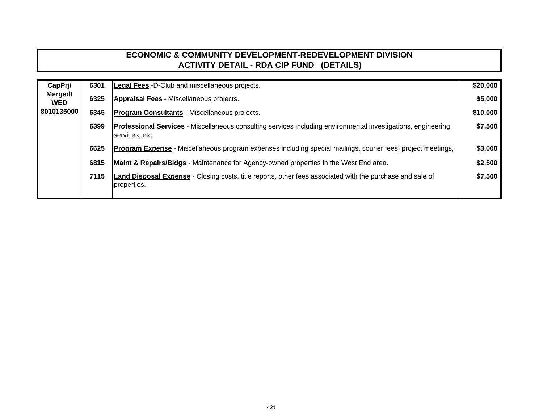| CapPrj/               | 6301 | <b>Legal Fees</b> -D-Club and miscellaneous projects.                                                                                  | \$20,000 |
|-----------------------|------|----------------------------------------------------------------------------------------------------------------------------------------|----------|
| Merged/<br><b>WED</b> | 6325 | Appraisal Fees - Miscellaneous projects.                                                                                               | \$5,000  |
| 8010135000            | 6345 | <b>Program Consultants - Miscellaneous projects.</b>                                                                                   | \$10,000 |
|                       | 6399 | <b>Professional Services</b> - Miscellaneous consulting services including environmental investigations, engineering<br>services, etc. | \$7,500  |
|                       | 6625 | <b>Program Expense</b> - Miscellaneous program expenses including special mailings, courier fees, project meetings,                    | \$3,000  |
|                       | 6815 | <b>Maint &amp; Repairs/Bldgs</b> - Maintenance for Agency-owned properties in the West End area.                                       | \$2,500  |
|                       | 7115 | Land Disposal Expense - Closing costs, title reports, other fees associated with the purchase and sale of<br>properties.               | \$7,500  |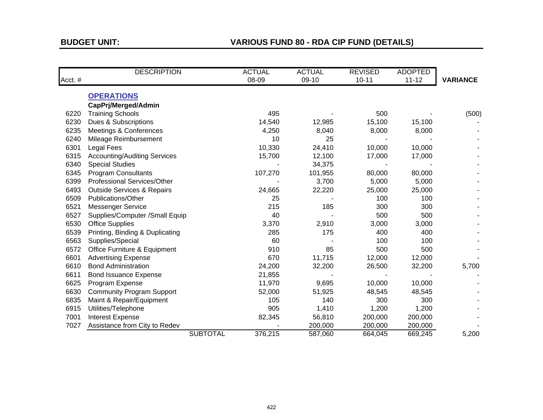# **VARIOUS FUND 80 - RDA CIP FUND (DETAILS)**

| Acct. # | <b>DESCRIPTION</b>                    |                 | <b>ACTUAL</b><br>08-09 | <b>ACTUAL</b><br>09-10 | <b>REVISED</b><br>$10 - 11$ | <b>ADOPTED</b><br>$11 - 12$ | <b>VARIANCE</b> |
|---------|---------------------------------------|-----------------|------------------------|------------------------|-----------------------------|-----------------------------|-----------------|
|         | <b>OPERATIONS</b>                     |                 |                        |                        |                             |                             |                 |
|         | CapPrj/Merged/Admin                   |                 |                        |                        |                             |                             |                 |
| 6220    | <b>Training Schools</b>               |                 | 495                    |                        | 500                         |                             | (500)           |
| 6230    | Dues & Subscriptions                  |                 | 14,540                 | 12,985                 | 15,100                      | 15,100                      |                 |
| 6235    | Meetings & Conferences                |                 | 4,250                  | 8,040                  | 8,000                       | 8,000                       |                 |
| 6240    | Mileage Reimbursement                 |                 | 10                     | 25                     |                             |                             |                 |
| 6301    | Legal Fees                            |                 | 10,330                 | 24,410                 | 10,000                      | 10,000                      |                 |
| 6315    | <b>Accounting/Auditing Services</b>   |                 | 15,700                 | 12,100                 | 17,000                      | 17,000                      |                 |
| 6340    | <b>Special Studies</b>                |                 |                        | 34,375                 |                             |                             |                 |
| 6345    | <b>Program Consultants</b>            |                 | 107,270                | 101,955                | 80,000                      | 80,000                      |                 |
| 6399    | Professional Services/Other           |                 |                        | 3,700                  | 5,000                       | 5,000                       |                 |
| 6493    | <b>Outside Services &amp; Repairs</b> |                 | 24,665                 | 22,220                 | 25,000                      | 25,000                      |                 |
| 6509    | Publications/Other                    |                 | 25                     |                        | 100                         | 100                         |                 |
| 6521    | <b>Messenger Service</b>              |                 | 215                    | 185                    | 300                         | 300                         |                 |
| 6527    | Supplies/Computer /Small Equip        |                 | 40                     |                        | 500                         | 500                         |                 |
| 6530    | <b>Office Supplies</b>                |                 | 3,370                  | 2,910                  | 3,000                       | 3,000                       |                 |
| 6539    | Printing, Binding & Duplicating       |                 | 285                    | 175                    | 400                         | 400                         |                 |
| 6563    | Supplies/Special                      |                 | 60                     |                        | 100                         | 100                         |                 |
| 6572    | Office Furniture & Equipment          |                 | 910                    | 85                     | 500                         | 500                         |                 |
| 6601    | <b>Advertising Expense</b>            |                 | 670                    | 11,715                 | 12,000                      | 12,000                      |                 |
| 6610    | <b>Bond Administration</b>            |                 | 24,200                 | 32,200                 | 26,500                      | 32,200                      | 5,700           |
| 6611    | <b>Bond Issuance Expense</b>          |                 | 21,855                 |                        |                             |                             |                 |
| 6625    | Program Expense                       |                 | 11,970                 | 9,695                  | 10,000                      | 10,000                      |                 |
| 6630    | <b>Community Program Support</b>      |                 | 52,000                 | 51,925                 | 48,545                      | 48,545                      |                 |
| 6835    | Maint & Repair/Equipment              |                 | 105                    | 140                    | 300                         | 300                         |                 |
| 6915    | Utilities/Telephone                   |                 | 905                    | 1,410                  | 1,200                       | 1,200                       |                 |
| 7001    | <b>Interest Expense</b>               |                 | 82,345                 | 56,810                 | 200,000                     | 200,000                     |                 |
| 7027    | Assistance from City to Redev         |                 |                        | 200,000                | 200,000                     | 200,000                     |                 |
|         |                                       | <b>SUBTOTAL</b> | 376,215                | 587,060                | 664,045                     | 669,245                     | 5,200           |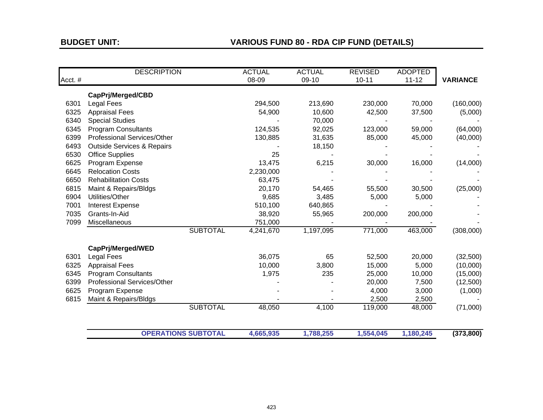# **VARIOUS FUND 80 - RDA CIP FUND (DETAILS)**

|        | <b>DESCRIPTION</b>                    |                            | <b>ACTUAL</b> | <b>ACTUAL</b> | <b>REVISED</b> | <b>ADOPTED</b> |                 |
|--------|---------------------------------------|----------------------------|---------------|---------------|----------------|----------------|-----------------|
| Acct.# |                                       |                            | 08-09         | 09-10         | $10 - 11$      | $11 - 12$      | <b>VARIANCE</b> |
|        | CapPrj/Merged/CBD                     |                            |               |               |                |                |                 |
| 6301   | Legal Fees                            |                            | 294,500       | 213,690       | 230,000        | 70,000         | (160,000)       |
| 6325   | <b>Appraisal Fees</b>                 |                            | 54,900        | 10,600        | 42,500         | 37,500         | (5,000)         |
| 6340   | <b>Special Studies</b>                |                            |               | 70,000        |                |                |                 |
| 6345   | Program Consultants                   |                            | 124,535       | 92,025        | 123,000        | 59,000         | (64,000)        |
| 6399   | Professional Services/Other           |                            | 130,885       | 31,635        | 85,000         | 45,000         | (40,000)        |
| 6493   | <b>Outside Services &amp; Repairs</b> |                            |               | 18,150        |                |                |                 |
| 6530   | <b>Office Supplies</b>                |                            | 25            |               |                |                |                 |
| 6625   | Program Expense                       |                            | 13,475        | 6,215         | 30,000         | 16,000         | (14,000)        |
| 6645   | <b>Relocation Costs</b>               |                            | 2,230,000     |               |                |                |                 |
| 6650   | <b>Rehabilitation Costs</b>           |                            | 63,475        |               |                |                |                 |
| 6815   | Maint & Repairs/Bldgs                 |                            | 20,170        | 54,465        | 55,500         | 30,500         | (25,000)        |
| 6904   | Utilities/Other                       |                            | 9,685         | 3,485         | 5,000          | 5,000          |                 |
| 7001   | Interest Expense                      |                            | 510,100       | 640,865       |                |                |                 |
| 7035   | Grants-In-Aid                         |                            | 38,920        | 55,965        | 200,000        | 200,000        |                 |
| 7099   | Miscellaneous                         |                            | 751,000       |               |                |                |                 |
|        |                                       | <b>SUBTOTAL</b>            | 4,241,670     | 1,197,095     | 771,000        | 463,000        | (308,000)       |
|        | CapPrj/Merged/WED                     |                            |               |               |                |                |                 |
| 6301   | <b>Legal Fees</b>                     |                            | 36,075        | 65            | 52,500         | 20,000         | (32, 500)       |
| 6325   | <b>Appraisal Fees</b>                 |                            | 10,000        | 3,800         | 15,000         | 5,000          | (10,000)        |
| 6345   | <b>Program Consultants</b>            |                            | 1,975         | 235           | 25,000         | 10,000         | (15,000)        |
| 6399   | Professional Services/Other           |                            |               |               | 20,000         | 7,500          | (12,500)        |
| 6625   | Program Expense                       |                            |               |               | 4,000          | 3,000          | (1,000)         |
| 6815   | Maint & Repairs/Bldgs                 |                            |               |               | 2,500          | 2,500          |                 |
|        |                                       | <b>SUBTOTAL</b>            | 48,050        | 4,100         | 119,000        | 48,000         | (71,000)        |
|        |                                       |                            |               |               |                |                |                 |
|        |                                       | <b>OPERATIONS SUBTOTAL</b> | 4,665,935     | 1,788,255     | 1,554,045      | 1,180,245      | (373, 800)      |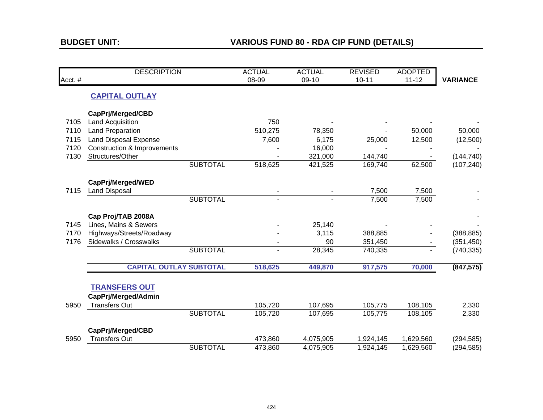|         | <b>DESCRIPTION</b>                     |                 | <b>ACTUAL</b>            | <b>ACTUAL</b> | <b>REVISED</b> | <b>ADOPTED</b> |                 |
|---------|----------------------------------------|-----------------|--------------------------|---------------|----------------|----------------|-----------------|
| Acct. # |                                        |                 | 08-09                    | $09-10$       | $10 - 11$      | $11 - 12$      | <b>VARIANCE</b> |
|         | <b>CAPITAL OUTLAY</b>                  |                 |                          |               |                |                |                 |
|         | CapPrj/Merged/CBD                      |                 |                          |               |                |                |                 |
| 7105    | <b>Land Acquisition</b>                |                 | 750                      |               |                |                |                 |
| 7110    | Land Preparation                       |                 | 510,275                  | 78,350        |                | 50,000         | 50,000          |
| 7115    | <b>Land Disposal Expense</b>           |                 | 7,600                    | 6,175         | 25,000         | 12,500         | (12,500)        |
| 7120    | <b>Construction &amp; Improvements</b> |                 |                          | 16,000        |                |                |                 |
| 7130    | Structures/Other                       |                 |                          | 321,000       | 144,740        |                | (144, 740)      |
|         |                                        | <b>SUBTOTAL</b> | 518,625                  | 421,525       | 169,740        | 62,500         | (107, 240)      |
|         | CapPrj/Merged/WED                      |                 |                          |               |                |                |                 |
| 7115    | <b>Land Disposal</b>                   |                 |                          |               | 7,500          | 7,500          |                 |
|         |                                        | <b>SUBTOTAL</b> |                          |               | 7,500          | 7,500          |                 |
|         | Cap Proj/TAB 2008A                     |                 |                          |               |                |                |                 |
| 7145    | Lines, Mains & Sewers                  |                 |                          | 25,140        |                |                |                 |
| 7170    | Highways/Streets/Roadway               |                 |                          | 3,115         | 388,885        |                | (388, 885)      |
| 7176    | Sidewalks / Crosswalks                 |                 |                          | 90            | 351,450        |                | (351, 450)      |
|         |                                        | <b>SUBTOTAL</b> | $\overline{\phantom{a}}$ | 28,345        | 740,335        |                | (740, 335)      |
|         | <b>CAPITAL OUTLAY SUBTOTAL</b>         |                 | 518,625                  | 449,870       | 917,575        | 70,000         | (847, 575)      |
|         |                                        |                 |                          |               |                |                |                 |
|         | <b>TRANSFERS OUT</b>                   |                 |                          |               |                |                |                 |
|         | CapPrj/Merged/Admin                    |                 |                          |               |                |                |                 |
| 5950    | <b>Transfers Out</b>                   |                 | 105,720                  | 107,695       | 105,775        | 108,105        | 2,330           |
|         |                                        | <b>SUBTOTAL</b> | 105,720                  | 107,695       | 105,775        | 108,105        | 2,330           |
|         | CapPrj/Merged/CBD                      |                 |                          |               |                |                |                 |
| 5950    | <b>Transfers Out</b>                   |                 | 473,860                  | 4,075,905     | 1,924,145      | 1,629,560      | (294, 585)      |
|         |                                        | <b>SUBTOTAL</b> | 473,860                  | 4,075,905     | 1,924,145      | 1,629,560      | (294, 585)      |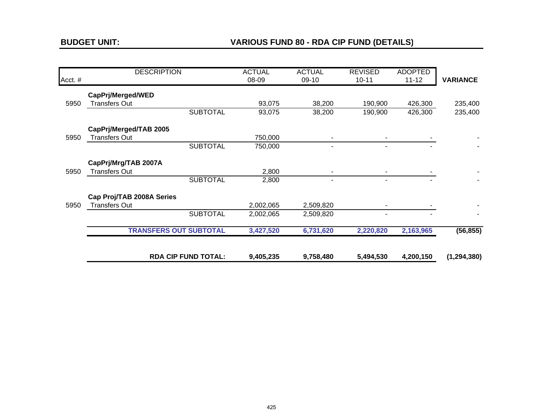# **VARIOUS FUND 80 - RDA CIP FUND (DETAILS)**

|         | <b>DESCRIPTION</b>            | <b>ACTUAL</b> | <b>ACTUAL</b> | <b>REVISED</b>           | <b>ADOPTED</b> |                 |
|---------|-------------------------------|---------------|---------------|--------------------------|----------------|-----------------|
| Acct. # |                               | 08-09         | $09-10$       | $10 - 11$                | $11 - 12$      | <b>VARIANCE</b> |
|         | CapPrj/Merged/WED             |               |               |                          |                |                 |
| 5950    | <b>Transfers Out</b>          | 93,075        | 38,200        | 190,900                  | 426,300        | 235,400         |
|         | <b>SUBTOTAL</b>               | 93,075        | 38,200        | 190,900                  | 426,300        | 235,400         |
|         | CapPrj/Merged/TAB 2005        |               |               |                          |                |                 |
| 5950    | <b>Transfers Out</b>          | 750,000       |               |                          |                |                 |
|         | <b>SUBTOTAL</b>               | 750,000       | ۰.            | $\overline{\phantom{a}}$ |                |                 |
|         | CapPrj/Mrg/TAB 2007A          |               |               |                          |                |                 |
| 5950    | <b>Transfers Out</b>          | 2,800         |               |                          |                |                 |
|         | <b>SUBTOTAL</b>               | 2,800         | ٠             |                          |                |                 |
|         | Cap Proj/TAB 2008A Series     |               |               |                          |                |                 |
| 5950    | <b>Transfers Out</b>          | 2,002,065     | 2,509,820     |                          |                |                 |
|         | <b>SUBTOTAL</b>               | 2,002,065     | 2,509,820     | ۰                        | ۰              |                 |
|         | <b>TRANSFERS OUT SUBTOTAL</b> | 3,427,520     | 6,731,620     | 2,220,820                | 2,163,965      | (56, 855)       |
|         | <b>RDA CIP FUND TOTAL:</b>    | 9,405,235     | 9,758,480     | 5,494,530                | 4,200,150      | (1, 294, 380)   |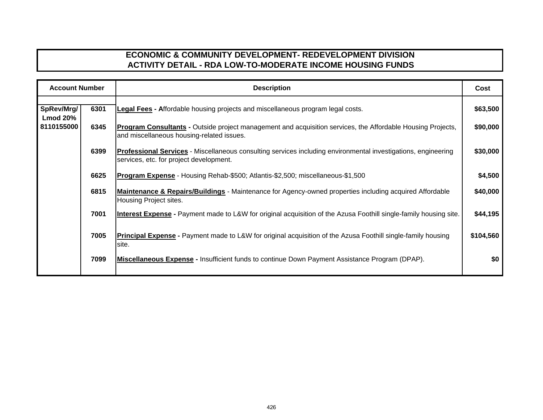#### **ECONOMIC & COMMUNITY DEVELOPMENT- REDEVELOPMENT DIVISIONACTIVITY DETAIL - RDA LOW-TO-MODERATE INCOME HOUSING FUNDS**

| <b>Account Number</b>         |      | <b>Description</b>                                                                                                                                              | Cost      |
|-------------------------------|------|-----------------------------------------------------------------------------------------------------------------------------------------------------------------|-----------|
| SpRev/Mrg/<br><b>Lmod 20%</b> | 6301 | Legal Fees - Affordable housing projects and miscellaneous program legal costs.                                                                                 | \$63,500  |
| 8110155000                    | 6345 | Program Consultants - Outside project management and acquisition services, the Affordable Housing Projects,<br>and miscellaneous housing-related issues.        | \$90,000  |
|                               | 6399 | <b>Professional Services</b> - Miscellaneous consulting services including environmental investigations, engineering<br>services, etc. for project development. | \$30,000  |
|                               | 6625 | <b>Program Expense</b> - Housing Rehab-\$500; Atlantis-\$2,500; miscellaneous-\$1,500                                                                           | \$4,500   |
|                               | 6815 | Maintenance & Repairs/Buildings - Maintenance for Agency-owned properties including acquired Affordable<br>Housing Project sites.                               | \$40,000  |
|                               | 7001 | <b>Interest Expense</b> - Payment made to L&W for original acquisition of the Azusa Foothill single-family housing site.                                        | \$44,195  |
|                               | 7005 | <b>Principal Expense</b> - Payment made to L&W for original acquisition of the Azusa Foothill single-family housing<br>site.                                    | \$104,560 |
|                               | 7099 | Miscellaneous Expense - Insufficient funds to continue Down Payment Assistance Program (DPAP).                                                                  | \$0       |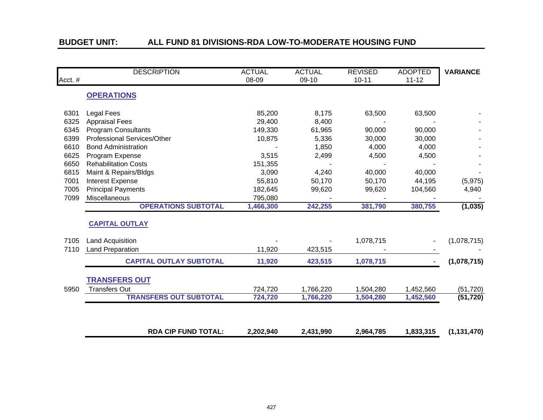#### **BUDGET UNIT: ALL FUND 81 DIVISIONS-RDA LOW-TO-MODERATE HOUSING FUND**

| Acct. # | <b>DESCRIPTION</b>             | <b>ACTUAL</b><br>08-09 | <b>ACTUAL</b><br>09-10 | <b>REVISED</b><br>$10 - 11$ | <b>ADOPTED</b><br>$11 - 12$ | <b>VARIANCE</b> |
|---------|--------------------------------|------------------------|------------------------|-----------------------------|-----------------------------|-----------------|
|         | <b>OPERATIONS</b>              |                        |                        |                             |                             |                 |
| 6301    | <b>Legal Fees</b>              | 85,200                 | 8,175                  | 63,500                      | 63,500                      |                 |
| 6325    | <b>Appraisal Fees</b>          | 29,400                 | 8,400                  |                             |                             |                 |
| 6345    | <b>Program Consultants</b>     | 149,330                | 61,965                 | 90,000                      | 90,000                      |                 |
| 6399    | Professional Services/Other    | 10,875                 | 5,336                  | 30,000                      | 30,000                      |                 |
| 6610    | <b>Bond Administration</b>     |                        | 1,850                  | 4,000                       | 4,000                       |                 |
| 6625    | Program Expense                | 3,515                  | 2,499                  | 4,500                       | 4,500                       |                 |
| 6650    | <b>Rehabilitation Costs</b>    | 151,355                |                        |                             |                             |                 |
| 6815    | Maint & Repairs/Bldgs          | 3,090                  | 4,240                  | 40,000                      | 40,000                      |                 |
| 7001    | <b>Interest Expense</b>        | 55,810                 | 50,170                 | 50,170                      | 44,195                      | (5,975)         |
| 7005    | <b>Principal Payments</b>      | 182,645                | 99,620                 | 99,620                      | 104,560                     | 4,940           |
| 7099    | Miscellaneous                  | 795,080                |                        |                             |                             |                 |
|         | <b>OPERATIONS SUBTOTAL</b>     | 1,466,300              | 242,255                | 381,790                     | 380,755                     | (1,035)         |
|         | <b>CAPITAL OUTLAY</b>          |                        |                        |                             |                             |                 |
| 7105    | Land Acquisition               |                        |                        | 1,078,715                   |                             | (1,078,715)     |
| 7110    | <b>Land Preparation</b>        | 11,920                 | 423,515                |                             |                             |                 |
|         | <b>CAPITAL OUTLAY SUBTOTAL</b> | 11,920                 | 423,515                | 1,078,715                   |                             | (1,078,715)     |
|         | <b>TRANSFERS OUT</b>           |                        |                        |                             |                             |                 |
| 5950    | <b>Transfers Out</b>           | 724,720                | 1,766,220              | 1,504,280                   | 1,452,560                   | (51, 720)       |
|         | <b>TRANSFERS OUT SUBTOTAL</b>  | 724,720                | 1,766,220              | 1,504,280                   | 1,452,560                   | (51, 720)       |
|         |                                |                        |                        |                             |                             |                 |
|         | <b>RDA CIP FUND TOTAL:</b>     | 2,202,940              | 2,431,990              | 2,964,785                   | 1,833,315                   | (1, 131, 470)   |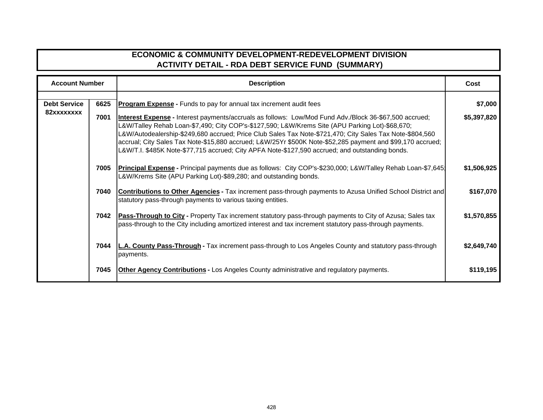#### **ECONOMIC & COMMUNITY DEVELOPMENT-REDEVELOPMENT DIVISION ACTIVITY DETAIL - RDA DEBT SERVICE FUND (SUMMARY)**

| <b>Account Number</b> |      | <b>Description</b>                                                                                                                                                                                                                                                                                                                                                                                                                                                                                                                            | Cost        |
|-----------------------|------|-----------------------------------------------------------------------------------------------------------------------------------------------------------------------------------------------------------------------------------------------------------------------------------------------------------------------------------------------------------------------------------------------------------------------------------------------------------------------------------------------------------------------------------------------|-------------|
| <b>Debt Service</b>   | 6625 | <b>Program Expense</b> - Funds to pay for annual tax increment audit fees                                                                                                                                                                                                                                                                                                                                                                                                                                                                     | \$7,000     |
| 82xxxxxxxx            | 7001 | <b>Interest Expense - Interest payments/accruals as follows: Low/Mod Fund Adv./Block 36-\$67,500 accrued;</b><br>L&W/Talley Rehab Loan-\$7,490; City COP's-\$127,590; L&W/Krems Site (APU Parking Lot)-\$68,670;<br>L&W/Autodealership-\$249,680 accrued; Price Club Sales Tax Note-\$721,470; City Sales Tax Note-\$804,560<br>accrual; City Sales Tax Note-\$15,880 accrued; L&W/25Yr \$500K Note-\$52,285 payment and \$99,170 accrued;<br>L&W/T.I. \$485K Note-\$77,715 accrued; City APFA Note-\$127,590 accrued; and outstanding bonds. | \$5,397,820 |
|                       | 7005 | <b>Principal Expense</b> - Principal payments due as follows: City COP's-\$230,000; L&W/Talley Rehab Loan-\$7,645<br>L&W/Krems Site (APU Parking Lot)-\$89,280; and outstanding bonds.                                                                                                                                                                                                                                                                                                                                                        | \$1,506,925 |
|                       | 7040 | <b>Contributions to Other Agencies</b> - Tax increment pass-through payments to Azusa Unified School District and<br>statutory pass-through payments to various taxing entities.                                                                                                                                                                                                                                                                                                                                                              | \$167,070   |
|                       | 7042 | <b>Pass-Through to City</b> - Property Tax increment statutory pass-through payments to City of Azusa; Sales tax<br>pass-through to the City including amortized interest and tax increment statutory pass-through payments.                                                                                                                                                                                                                                                                                                                  | \$1,570,855 |
|                       | 7044 | L.A. County Pass-Through - Tax increment pass-through to Los Angeles County and statutory pass-through<br>payments.                                                                                                                                                                                                                                                                                                                                                                                                                           | \$2,649,740 |
|                       | 7045 | <b>Other Agency Contributions - Los Angeles County administrative and regulatory payments.</b>                                                                                                                                                                                                                                                                                                                                                                                                                                                | \$119,195   |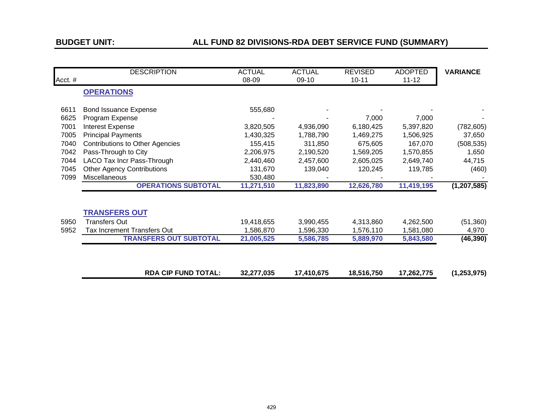#### **BUDGET UNIT: ALL FUND 82 DIVISIONS-RDA DEBT SERVICE FUND (SUMMARY)**

| <b>DESCRIPTION</b>                     | <b>ACTUAL</b>                                                                               | <b>ACTUAL</b>         | <b>REVISED</b> | <b>ADOPTED</b> | <b>VARIANCE</b> |
|----------------------------------------|---------------------------------------------------------------------------------------------|-----------------------|----------------|----------------|-----------------|
| Acct. #                                | 08-09                                                                                       | 09-10                 | $10 - 11$      | $11 - 12$      |                 |
| <b>OPERATIONS</b>                      |                                                                                             |                       |                |                |                 |
|                                        |                                                                                             |                       |                |                |                 |
| Program Expense                        |                                                                                             |                       | 7,000          | 7,000          |                 |
| <b>Interest Expense</b>                | 3,820,505                                                                                   | 4,936,090             | 6,180,425      | 5,397,820      | (782, 605)      |
| <b>Principal Payments</b>              | 1,430,325                                                                                   | 1,788,790             | 1,469,275      | 1,506,925      | 37,650          |
| <b>Contributions to Other Agencies</b> | 155,415                                                                                     | 311,850               | 675,605        | 167,070        | (508, 535)      |
| Pass-Through to City                   | 2,206,975                                                                                   | 2,190,520             | 1,569,205      | 1,570,855      | 1,650           |
| LACO Tax Incr Pass-Through             | 2,440,460                                                                                   | 2,457,600             | 2,605,025      | 2,649,740      | 44,715          |
| <b>Other Agency Contributions</b>      | 131,670                                                                                     | 139,040               | 120,245        | 119,785        | (460)           |
| Miscellaneous                          | 530,480                                                                                     |                       |                |                |                 |
| <b>OPERATIONS SUBTOTAL</b>             | 11,271,510                                                                                  | 11,823,890            | 12,626,780     | 11,419,195     | (1, 207, 585)   |
|                                        |                                                                                             |                       |                |                |                 |
| <b>TRANSFERS OUT</b>                   |                                                                                             |                       |                |                |                 |
| <b>Transfers Out</b>                   | 19,418,655                                                                                  | 3,990,455             | 4,313,860      | 4,262,500      | (51, 360)       |
| Tax Increment Transfers Out            | 1,586,870                                                                                   | 1,596,330             | 1,576,110      | 1,581,080      | 4,970           |
|                                        | 21,005,525                                                                                  | 5,586,785             | 5,889,970      | 5,843,580      | (46, 390)       |
|                                        |                                                                                             |                       |                |                |                 |
|                                        |                                                                                             |                       |                |                | (1, 253, 975)   |
|                                        | <b>Bond Issuance Expense</b><br><b>TRANSFERS OUT SUBTOTAL</b><br><b>RDA CIP FUND TOTAL:</b> | 555,680<br>32,277,035 | 17,410,675     | 18,516,750     | 17,262,775      |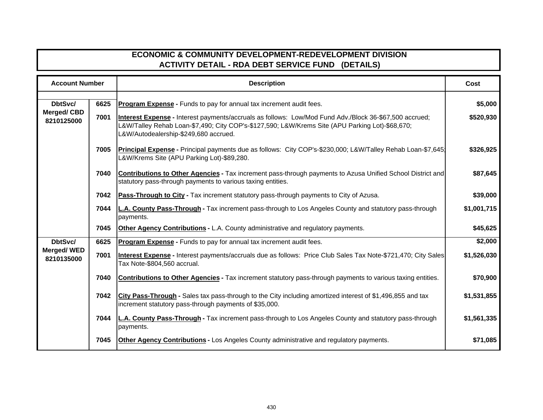| <b>Account Number</b>           |      | <b>Description</b>                                                                                                                                                                                                                                        | Cost        |
|---------------------------------|------|-----------------------------------------------------------------------------------------------------------------------------------------------------------------------------------------------------------------------------------------------------------|-------------|
| DbtSvc/                         | 6625 | Program Expense - Funds to pay for annual tax increment audit fees.                                                                                                                                                                                       | \$5,000     |
| <b>Merged/CBD</b><br>8210125000 | 7001 | <b>Interest Expense - Interest payments/accruals as follows: Low/Mod Fund Adv./Block 36-\$67,500 accrued;</b><br>L&W/Talley Rehab Loan-\$7,490; City COP's-\$127,590; L&W/Krems Site (APU Parking Lot)-\$68,670;<br>L&W/Autodealership-\$249,680 accrued. | \$520,930   |
|                                 | 7005 | Principal Expense - Principal payments due as follows: City COP's-\$230,000; L&W/Talley Rehab Loan-\$7,645<br>L&W/Krems Site (APU Parking Lot)-\$89,280.                                                                                                  | \$326,925   |
|                                 | 7040 | <b>Contributions to Other Agencies</b> - Tax increment pass-through payments to Azusa Unified School District and<br>statutory pass-through payments to various taxing entities.                                                                          | \$87,645    |
|                                 | 7042 | <b>Pass-Through to City - Tax increment statutory pass-through payments to City of Azusa.</b>                                                                                                                                                             | \$39,000    |
|                                 | 7044 | L.A. County Pass-Through - Tax increment pass-through to Los Angeles County and statutory pass-through<br>payments.                                                                                                                                       | \$1,001,715 |
|                                 | 7045 | Other Agency Contributions - L.A. County administrative and regulatory payments.                                                                                                                                                                          | \$45,625    |
| DbtSvc/                         | 6625 | <b>Program Expense</b> - Funds to pay for annual tax increment audit fees.                                                                                                                                                                                | \$2,000     |
| <b>Merged/WED</b><br>8210135000 | 7001 | Interest Expense - Interest payments/accruals due as follows: Price Club Sales Tax Note-\$721,470; City Sales<br>Tax Note-\$804,560 accrual.                                                                                                              | \$1,526,030 |
|                                 | 7040 | <b>Contributions to Other Agencies - Tax increment statutory pass-through payments to various taxing entities.</b>                                                                                                                                        | \$70,900    |
|                                 | 7042 | City Pass-Through - Sales tax pass-through to the City including amortized interest of \$1,496,855 and tax<br>increment statutory pass-through payments of \$35,000.                                                                                      | \$1,531,855 |
|                                 | 7044 | L.A. County Pass-Through - Tax increment pass-through to Los Angeles County and statutory pass-through<br>payments.                                                                                                                                       | \$1,561,335 |
|                                 | 7045 | Other Agency Contributions - Los Angeles County administrative and regulatory payments.                                                                                                                                                                   | \$71,085    |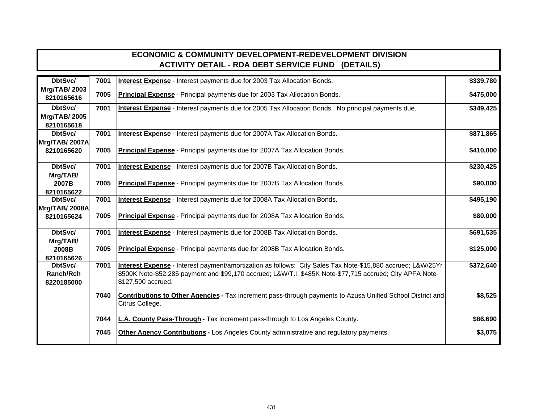| <b>ACTIVITY DETAIL - RDA DEBT SERVICE FUND (DETAILS)</b> |      |                                                                                                                                                                                                                                                |           |  |  |  |
|----------------------------------------------------------|------|------------------------------------------------------------------------------------------------------------------------------------------------------------------------------------------------------------------------------------------------|-----------|--|--|--|
| DbtSvc/                                                  | 7001 | Interest Expense - Interest payments due for 2003 Tax Allocation Bonds.                                                                                                                                                                        | \$339,780 |  |  |  |
| <b>Mrg/TAB/2003</b><br>8210165616                        | 7005 | <b>Principal Expense</b> - Principal payments due for 2003 Tax Allocation Bonds.                                                                                                                                                               | \$475,000 |  |  |  |
| DbtSvc/<br><b>Mrg/TAB/2005</b><br>8210165618             | 7001 | Interest Expense - Interest payments due for 2005 Tax Allocation Bonds. No principal payments due.                                                                                                                                             | \$349,425 |  |  |  |
| DbtSvc/<br>Mrg/TAB/ 2007A                                | 7001 | <b>Interest Expense</b> - Interest payments due for 2007A Tax Allocation Bonds.                                                                                                                                                                | \$871,865 |  |  |  |
| 8210165620                                               | 7005 | <b>Principal Expense</b> - Principal payments due for 2007A Tax Allocation Bonds.                                                                                                                                                              | \$410,000 |  |  |  |
| DbtSvc/<br>Mrg/TAB/                                      | 7001 | Interest Expense - Interest payments due for 2007B Tax Allocation Bonds.                                                                                                                                                                       | \$230,425 |  |  |  |
| 2007B<br>8210165622                                      | 7005 | <b>Principal Expense</b> - Principal payments due for 2007B Tax Allocation Bonds.                                                                                                                                                              | \$90,000  |  |  |  |
| DbtSvc/<br>Mrg/TAB/ 2008A                                | 7001 | <b>Interest Expense</b> - Interest payments due for 2008A Tax Allocation Bonds.                                                                                                                                                                | \$495,190 |  |  |  |
| 8210165624                                               | 7005 | <b>Principal Expense</b> - Principal payments due for 2008A Tax Allocation Bonds.                                                                                                                                                              | \$80,000  |  |  |  |
| DbtSvc/<br>Mrg/TAB/                                      | 7001 | Interest Expense - Interest payments due for 2008B Tax Allocation Bonds.                                                                                                                                                                       | \$691,535 |  |  |  |
| 2008B<br>8210165626                                      | 7005 | <b>Principal Expense</b> - Principal payments due for 2008B Tax Allocation Bonds.                                                                                                                                                              | \$125,000 |  |  |  |
| DbtSvc/<br>Ranch/Rch<br>8220185000                       | 7001 | Interest Expense - Interest payment/amortization as follows: City Sales Tax Note-\$15,880 accrued; L&W/25Yr<br>\$500K Note-\$52,285 payment and \$99,170 accrued; L&W/T.I. \$485K Note-\$77,715 accrued; City APFA Note-<br>\$127,590 accrued. | \$372,640 |  |  |  |
|                                                          | 7040 | <b>Contributions to Other Agencies - Tax increment pass-through payments to Azusa Unified School District and</b><br>Citrus College.                                                                                                           | \$8,525   |  |  |  |
|                                                          | 7044 | <b>L.A. County Pass-Through - Tax increment pass-through to Los Angeles County.</b>                                                                                                                                                            | \$86,690  |  |  |  |
|                                                          | 7045 | <b>Other Agency Contributions - Los Angeles County administrative and regulatory payments.</b>                                                                                                                                                 | \$3,075   |  |  |  |

# **ECONOMIC & COMMUNITY DEVELOPMENT-REDEVELOPMENT DIVISION**

П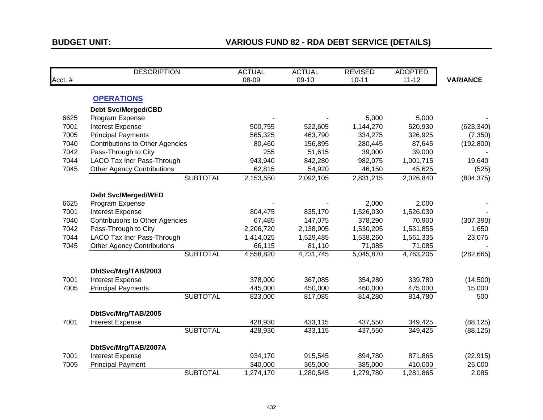#### **VARIOUS FUND 82 - RDA DEBT SERVICE (DETAILS)**

| 08-09<br>09-10<br>$10 - 11$<br>$11 - 12$<br><b>VARIANCE</b><br>Acct.#<br><b>OPERATIONS</b><br><b>Debt Svc/Merged/CBD</b><br>Program Expense<br>5,000<br>5,000<br>6625<br>7001<br><b>Interest Expense</b><br>1,144,270<br>520,930<br>500,755<br>522,605<br>7005<br><b>Principal Payments</b><br>565,325<br>463,790<br>334,275<br>326,925<br>7040<br><b>Contributions to Other Agencies</b><br>80,460<br>156,895<br>280,445<br>87,645<br>7042<br>Pass-Through to City<br>39,000<br>39,000<br>255<br>51,615<br>7044<br>LACO Tax Incr Pass-Through<br>943,940<br>982,075<br>842,280<br>1,001,715<br>7045<br>62,815<br><b>Other Agency Contributions</b><br>54,920<br>46,150<br>45,625<br><b>SUBTOTAL</b><br>2,153,550<br>2,092,105<br>2,026,840<br>2,831,215<br><b>Debt Svc/Merged/WED</b><br>Program Expense<br>6625<br>2,000<br>2,000<br>7001<br><b>Interest Expense</b><br>804,475<br>835,170<br>1,526,030<br>1,526,030<br><b>Contributions to Other Agencies</b><br>7040<br>67,485<br>147,075<br>70,900<br>378,290<br>7042<br>Pass-Through to City<br>2,206,720<br>2,138,905<br>1,530,205<br>1,531,855<br>LACO Tax Incr Pass-Through<br>7044<br>1,414,025<br>1,529,485<br>1,538,260<br>1,561,335 | (623, 340)<br>(7, 350) |
|--------------------------------------------------------------------------------------------------------------------------------------------------------------------------------------------------------------------------------------------------------------------------------------------------------------------------------------------------------------------------------------------------------------------------------------------------------------------------------------------------------------------------------------------------------------------------------------------------------------------------------------------------------------------------------------------------------------------------------------------------------------------------------------------------------------------------------------------------------------------------------------------------------------------------------------------------------------------------------------------------------------------------------------------------------------------------------------------------------------------------------------------------------------------------------------------------|------------------------|
|                                                                                                                                                                                                                                                                                                                                                                                                                                                                                                                                                                                                                                                                                                                                                                                                                                                                                                                                                                                                                                                                                                                                                                                                  |                        |
|                                                                                                                                                                                                                                                                                                                                                                                                                                                                                                                                                                                                                                                                                                                                                                                                                                                                                                                                                                                                                                                                                                                                                                                                  |                        |
|                                                                                                                                                                                                                                                                                                                                                                                                                                                                                                                                                                                                                                                                                                                                                                                                                                                                                                                                                                                                                                                                                                                                                                                                  |                        |
|                                                                                                                                                                                                                                                                                                                                                                                                                                                                                                                                                                                                                                                                                                                                                                                                                                                                                                                                                                                                                                                                                                                                                                                                  |                        |
|                                                                                                                                                                                                                                                                                                                                                                                                                                                                                                                                                                                                                                                                                                                                                                                                                                                                                                                                                                                                                                                                                                                                                                                                  |                        |
|                                                                                                                                                                                                                                                                                                                                                                                                                                                                                                                                                                                                                                                                                                                                                                                                                                                                                                                                                                                                                                                                                                                                                                                                  |                        |
|                                                                                                                                                                                                                                                                                                                                                                                                                                                                                                                                                                                                                                                                                                                                                                                                                                                                                                                                                                                                                                                                                                                                                                                                  |                        |
|                                                                                                                                                                                                                                                                                                                                                                                                                                                                                                                                                                                                                                                                                                                                                                                                                                                                                                                                                                                                                                                                                                                                                                                                  | (192, 800)             |
|                                                                                                                                                                                                                                                                                                                                                                                                                                                                                                                                                                                                                                                                                                                                                                                                                                                                                                                                                                                                                                                                                                                                                                                                  |                        |
|                                                                                                                                                                                                                                                                                                                                                                                                                                                                                                                                                                                                                                                                                                                                                                                                                                                                                                                                                                                                                                                                                                                                                                                                  | 19,640                 |
|                                                                                                                                                                                                                                                                                                                                                                                                                                                                                                                                                                                                                                                                                                                                                                                                                                                                                                                                                                                                                                                                                                                                                                                                  | (525)                  |
|                                                                                                                                                                                                                                                                                                                                                                                                                                                                                                                                                                                                                                                                                                                                                                                                                                                                                                                                                                                                                                                                                                                                                                                                  | (804, 375)             |
|                                                                                                                                                                                                                                                                                                                                                                                                                                                                                                                                                                                                                                                                                                                                                                                                                                                                                                                                                                                                                                                                                                                                                                                                  |                        |
|                                                                                                                                                                                                                                                                                                                                                                                                                                                                                                                                                                                                                                                                                                                                                                                                                                                                                                                                                                                                                                                                                                                                                                                                  |                        |
|                                                                                                                                                                                                                                                                                                                                                                                                                                                                                                                                                                                                                                                                                                                                                                                                                                                                                                                                                                                                                                                                                                                                                                                                  |                        |
|                                                                                                                                                                                                                                                                                                                                                                                                                                                                                                                                                                                                                                                                                                                                                                                                                                                                                                                                                                                                                                                                                                                                                                                                  | (307, 390)             |
|                                                                                                                                                                                                                                                                                                                                                                                                                                                                                                                                                                                                                                                                                                                                                                                                                                                                                                                                                                                                                                                                                                                                                                                                  | 1,650                  |
|                                                                                                                                                                                                                                                                                                                                                                                                                                                                                                                                                                                                                                                                                                                                                                                                                                                                                                                                                                                                                                                                                                                                                                                                  | 23,075                 |
| 7045<br><b>Other Agency Contributions</b><br>66,115<br>81,110<br>71,085<br>71,085                                                                                                                                                                                                                                                                                                                                                                                                                                                                                                                                                                                                                                                                                                                                                                                                                                                                                                                                                                                                                                                                                                                |                        |
| <b>SUBTOTAL</b><br>4,763,205<br>4,558,820<br>4,731,745<br>5,045,870                                                                                                                                                                                                                                                                                                                                                                                                                                                                                                                                                                                                                                                                                                                                                                                                                                                                                                                                                                                                                                                                                                                              | (282, 665)             |
| DbtSvc/Mrg/TAB/2003                                                                                                                                                                                                                                                                                                                                                                                                                                                                                                                                                                                                                                                                                                                                                                                                                                                                                                                                                                                                                                                                                                                                                                              |                        |
| <b>Interest Expense</b><br>378,000<br>7001<br>367,085<br>354,280<br>339,780                                                                                                                                                                                                                                                                                                                                                                                                                                                                                                                                                                                                                                                                                                                                                                                                                                                                                                                                                                                                                                                                                                                      | (14,500)               |
| 7005<br><b>Principal Payments</b><br>445,000<br>450,000<br>460,000<br>475,000                                                                                                                                                                                                                                                                                                                                                                                                                                                                                                                                                                                                                                                                                                                                                                                                                                                                                                                                                                                                                                                                                                                    | 15,000                 |
| <b>SUBTOTAL</b><br>823,000<br>817,085<br>814,280<br>814,780                                                                                                                                                                                                                                                                                                                                                                                                                                                                                                                                                                                                                                                                                                                                                                                                                                                                                                                                                                                                                                                                                                                                      | 500                    |
|                                                                                                                                                                                                                                                                                                                                                                                                                                                                                                                                                                                                                                                                                                                                                                                                                                                                                                                                                                                                                                                                                                                                                                                                  |                        |
| DbtSvc/Mrg/TAB/2005                                                                                                                                                                                                                                                                                                                                                                                                                                                                                                                                                                                                                                                                                                                                                                                                                                                                                                                                                                                                                                                                                                                                                                              |                        |
| 7001<br><b>Interest Expense</b><br>428,930<br>433,115<br>437,550<br>349,425                                                                                                                                                                                                                                                                                                                                                                                                                                                                                                                                                                                                                                                                                                                                                                                                                                                                                                                                                                                                                                                                                                                      | (88, 125)              |
| <b>SUBTOTAL</b><br>433,115<br>349,425<br>428,930<br>437,550                                                                                                                                                                                                                                                                                                                                                                                                                                                                                                                                                                                                                                                                                                                                                                                                                                                                                                                                                                                                                                                                                                                                      | (88, 125)              |
| DbtSvc/Mrg/TAB/2007A                                                                                                                                                                                                                                                                                                                                                                                                                                                                                                                                                                                                                                                                                                                                                                                                                                                                                                                                                                                                                                                                                                                                                                             |                        |
| 7001<br>Interest Expense<br>934,170<br>915,545<br>894,780<br>871,865                                                                                                                                                                                                                                                                                                                                                                                                                                                                                                                                                                                                                                                                                                                                                                                                                                                                                                                                                                                                                                                                                                                             | (22, 915)              |
| 340,000<br>7005<br><b>Principal Payment</b><br>365,000<br>385,000<br>410,000                                                                                                                                                                                                                                                                                                                                                                                                                                                                                                                                                                                                                                                                                                                                                                                                                                                                                                                                                                                                                                                                                                                     | 25,000                 |
| <b>SUBTOTAL</b><br>1,274,170<br>1,280,545<br>1,279,780<br>1,281,865                                                                                                                                                                                                                                                                                                                                                                                                                                                                                                                                                                                                                                                                                                                                                                                                                                                                                                                                                                                                                                                                                                                              | 2,085                  |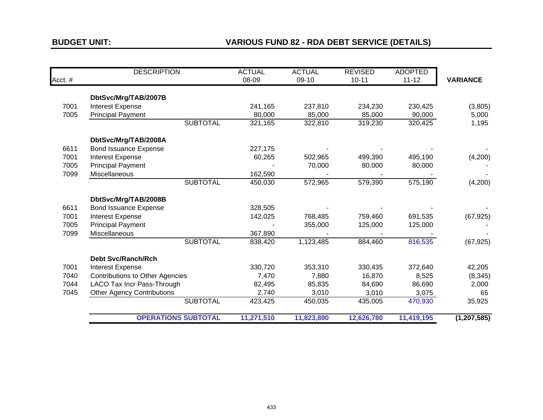# **VARIOUS FUND 82 - RDA DEBT SERVICE (DETAILS)**

| Acct. # | <b>DESCRIPTION</b>                     | <b>ACTUAL</b><br>08-09 | <b>ACTUAL</b><br>09-10 | <b>REVISED</b><br>$10 - 11$ | <b>ADOPTED</b><br>$11 - 12$ | <b>VARIANCE</b> |
|---------|----------------------------------------|------------------------|------------------------|-----------------------------|-----------------------------|-----------------|
|         | DbtSvc/Mrg/TAB/2007B                   |                        |                        |                             |                             |                 |
| 7001    | <b>Interest Expense</b>                | 241,165                | 237,810                | 234,230                     | 230,425                     | (3,805)         |
| 7005    | <b>Principal Payment</b>               | 80,000                 | 85,000                 | 85,000                      | 90,000                      | 5,000           |
|         | <b>SUBTOTAL</b>                        | 321,165                | 322,810                | 319,230                     | 320,425                     | 1,195           |
|         | DbtSvc/Mrg/TAB/2008A                   |                        |                        |                             |                             |                 |
| 6611    | <b>Bond Issuance Expense</b>           | 227,175                |                        |                             |                             |                 |
| 7001    | Interest Expense                       | 60,265                 | 502,965                | 499,390                     | 495,190                     | (4,200)         |
| 7005    | <b>Principal Payment</b>               |                        | 70,000                 | 80,000                      | 80,000                      |                 |
| 7099    | Miscellaneous                          | 162,590                |                        |                             |                             |                 |
|         | <b>SUBTOTAL</b>                        | 450,030                | 572,965                | 579,390                     | 575,190                     | (4,200)         |
|         | DbtSvc/Mrg/TAB/2008B                   |                        |                        |                             |                             |                 |
| 6611    | <b>Bond Issuance Expense</b>           | 328,505                |                        |                             |                             |                 |
| 7001    | <b>Interest Expense</b>                | 142,025                | 768,485                | 759,460                     | 691,535                     | (67, 925)       |
| 7005    | <b>Principal Payment</b>               |                        | 355,000                | 125,000                     | 125,000                     |                 |
| 7099    | Miscellaneous                          | 367,890                |                        |                             |                             |                 |
|         | <b>SUBTOTAL</b>                        | 838,420                | 1,123,485              | 884,460                     | 816,535                     | (67, 925)       |
|         | <b>Debt Svc/Ranch/Rch</b>              |                        |                        |                             |                             |                 |
| 7001    | <b>Interest Expense</b>                | 330,720                | 353,310                | 330,435                     | 372,640                     | 42,205          |
| 7040    | <b>Contributions to Other Agencies</b> | 7,470                  | 7,880                  | 16,870                      | 8,525                       | (8, 345)        |
| 7044    | LACO Tax Incr Pass-Through             | 82,495                 | 85,835                 | 84,690                      | 86,690                      | 2,000           |
| 7045    | <b>Other Agency Contributions</b>      | 2,740                  | 3,010                  | 3,010                       | 3,075                       | 65              |
|         | <b>SUBTOTAL</b>                        | 423,425                | 450,035                | 435,005                     | $\overline{470,}930$        | 35,925          |
|         | <b>OPERATIONS SUBTOTAL</b>             | 11,271,510             | 11,823,890             | 12,626,780                  | 11,419,195                  | (1, 207, 585)   |